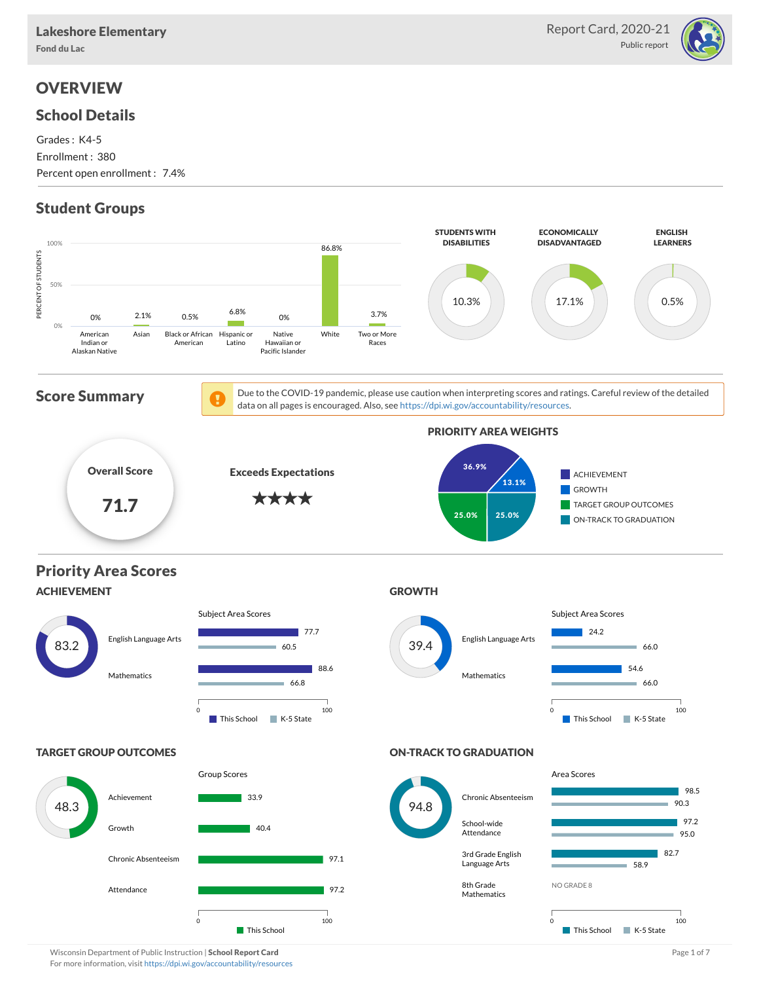

# **OVERVIEW**

### School Details

Grades : K4-5 Enrollment : 380 Percent open enrollment : 7.4%

## Student Groups



For more information, visit <https://dpi.wi.gov/accountability/resources>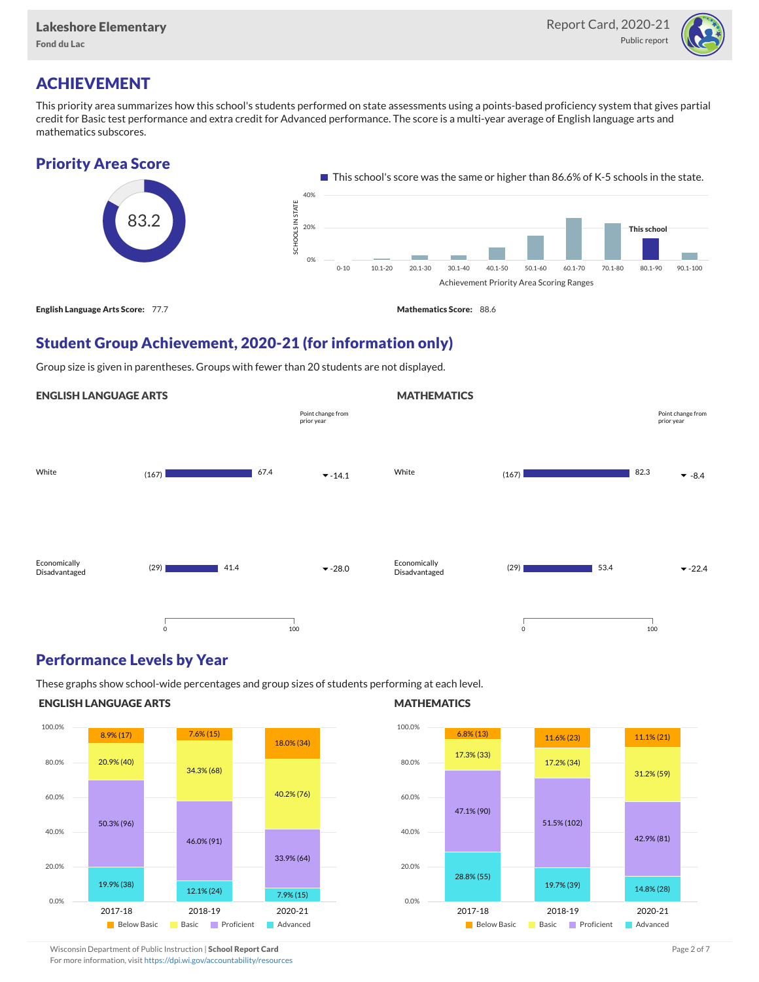

## ACHIEVEMENT

This priority area summarizes how this school's students performed on state assessments using a points-based proficiency system that gives partial credit for Basic test performance and extra credit for Advanced performance. The score is a multi-year average of English language arts and mathematics subscores.

### Priority Area Score



## Student Group Achievement, 2020-21 (for information only)

Group size is given in parentheses. Groups with fewer than 20 students are not displayed.

#### ENGLISH LANGUAGE ARTS



### Performance Levels by Year

These graphs show school-wide percentages and group sizes of students performing at each level.

#### ENGLISH LANGUAGE ARTS



### **MATHEMATICS**

**MATHEMATICS** 



Wisconsin Department of Public Instruction | School Report Card Page 2 of 7 and 2008 and 2009 and 2 of 7 and 2 of 7

For more information, visit <https://dpi.wi.gov/accountability/resources>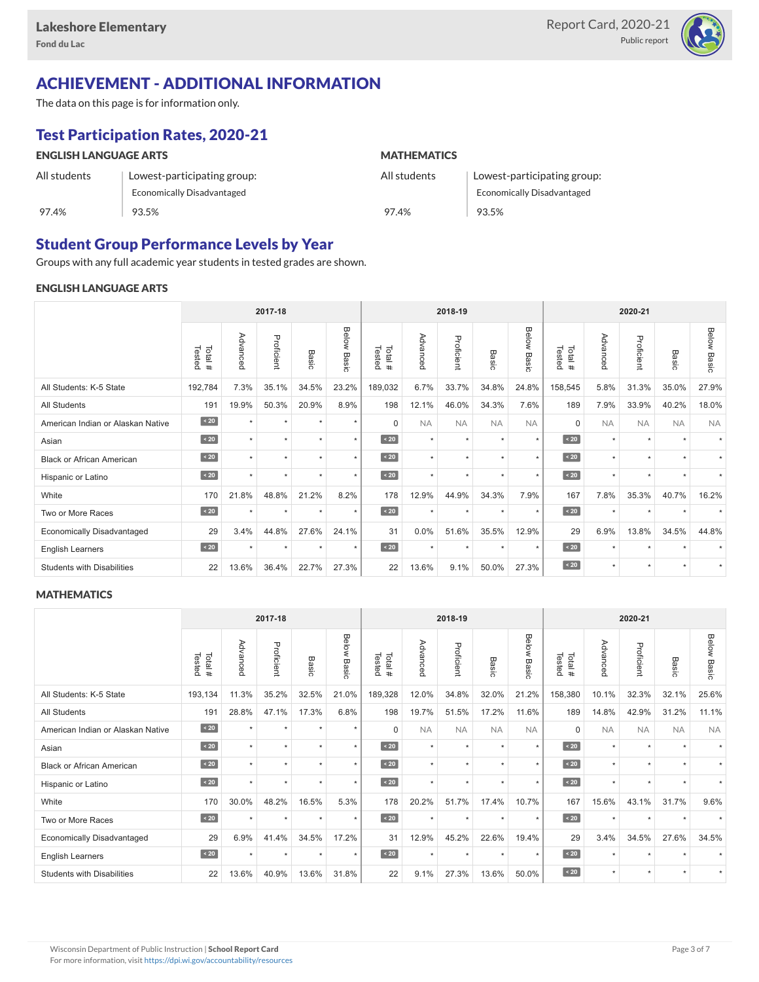

# ACHIEVEMENT - ADDITIONAL INFORMATION

The data on this page is for information only.

# Test Participation Rates, 2020-21

| <b>ENGLISH LANGUAGE ARTS</b> |                             | <b>MATHEMATICS</b> |                                   |  |  |  |  |  |
|------------------------------|-----------------------------|--------------------|-----------------------------------|--|--|--|--|--|
| All students                 | Lowest-participating group: | All students       | Lowest-participating group:       |  |  |  |  |  |
|                              | Economically Disadvantaged  |                    | <b>Economically Disadvantaged</b> |  |  |  |  |  |
| 97.4%                        | 93.5%                       | 97.4%              | 93.5%                             |  |  |  |  |  |

## Student Group Performance Levels by Year

Groups with any full academic year students in tested grades are shown.

### ENGLISH LANGUAGE ARTS

|                                   | 2017-18          |                      |            |         |                    | 2018-19          |           |            |           | 2020-21        |                  |           |            |                      |                    |
|-----------------------------------|------------------|----------------------|------------|---------|--------------------|------------------|-----------|------------|-----------|----------------|------------------|-----------|------------|----------------------|--------------------|
|                                   | Total#<br>Tested | Advanced             | Proficient | Basic   | <b>Below Basic</b> | Tested<br>Total# | Advanced  | Proficient | Basic     | Below<br>Basic | Tested<br>Total# | Advanced  | Proficient | Basic                | <b>Below Basic</b> |
| All Students: K-5 State           | 192,784          | 7.3%                 | 35.1%      | 34.5%   | 23.2%              | 189,032          | 6.7%      | 33.7%      | 34.8%     | 24.8%          | 158,545          | 5.8%      | 31.3%      | 35.0%                | 27.9%              |
| <b>All Students</b>               | 191              | 19.9%                | 50.3%      | 20.9%   | 8.9%               | 198              | 12.1%     | 46.0%      | 34.3%     | 7.6%           | 189              | 7.9%      | 33.9%      | 40.2%                | 18.0%              |
| American Indian or Alaskan Native | $\angle 20$      | $\star$              | $\star$    | ٠       | $\star$            | $\Omega$         | <b>NA</b> | <b>NA</b>  | <b>NA</b> | <b>NA</b>      | $\Omega$         | <b>NA</b> | <b>NA</b>  | <b>NA</b>            | <b>NA</b>          |
| Asian                             | $\sim 20$        | $\star$              | $\star$    | ٠       | $\star$            | $\sim 20$        | $\star$   | $\star$    | $\star$   | $\star$        | $\sim 20$        | $\star$   | $\star$    | $\ddot{}$            |                    |
| <b>Black or African American</b>  | $\sim 20$        |                      | $\star$    |         | $\star$            | $\sim 20$        | $\star$   | $\star$    |           | $\star$        | $\sim 20$        | $\star$   | $\star$    |                      |                    |
| Hispanic or Latino                | $\angle 20$      | $\ddot{\phantom{1}}$ | $\star$    | ٠       | $\star$            | $\angle 20$      | $\star$   | $\star$    | $\ddot{}$ | $\star$        | $\angle 20$      | $\star$   | $\star$    | $\ddot{\phantom{1}}$ |                    |
| White                             | 170              | 21.8%                | 48.8%      | 21.2%   | 8.2%               | 178              | 12.9%     | 44.9%      | 34.3%     | 7.9%           | 167              | 7.8%      | 35.3%      | 40.7%                | 16.2%              |
| Two or More Races                 | $\sim 20$        |                      | $\star$    | $\star$ | $\star$            | $\sim 20$        | $\star$   | $\star$    | $\star$   | $\star$        | $\sim 20$        | $\star$   | $\star$    |                      |                    |
| <b>Economically Disadvantaged</b> | 29               | 3.4%                 | 44.8%      | 27.6%   | 24.1%              | 31               | 0.0%      | 51.6%      | 35.5%     | 12.9%          | 29               | 6.9%      | 13.8%      | 34.5%                | 44.8%              |
| <b>English Learners</b>           | $\sim 20$        | $\star$              | $\star$    | $\star$ | $\star$            | $\angle 20$      | $\star$   | $\star$    | $\star$   | $\star$        | $\sim 20$        | $\star$   | $\star$    |                      |                    |
| <b>Students with Disabilities</b> | 22               | 13.6%                | 36.4%      | 22.7%   | 27.3%              | 22               | 13.6%     | 9.1%       | 50.0%     | 27.3%          | $\angle 20$      | $\star$   | $\star$    | $\star$              |                    |

### **MATHEMATICS**

|                                   |                  |           | 2017-18    |         |                |                  |           | 2018-19    |                      |                      |                  |           | 2020-21    |                          |                    |  |  |  |  |
|-----------------------------------|------------------|-----------|------------|---------|----------------|------------------|-----------|------------|----------------------|----------------------|------------------|-----------|------------|--------------------------|--------------------|--|--|--|--|
|                                   | Tested<br>Total# | Advanced  | Proficient | Basic   | Below<br>Basic | Tested<br>Total# | Advanced  | Proficient | Basic                | Below<br>Basic       | Tested<br>Total# | Advanced  | Proficient | Basic                    | <b>Below Basic</b> |  |  |  |  |
| All Students: K-5 State           | 193,134          | 11.3%     | 35.2%      | 32.5%   | 21.0%          | 189,328          | 12.0%     | 34.8%      | 32.0%                | 21.2%                | 158,380          | 10.1%     | 32.3%      | 32.1%                    | 25.6%              |  |  |  |  |
| <b>All Students</b>               | 191              | 28.8%     | 47.1%      | 17.3%   | 6.8%           | 198              | 19.7%     | 51.5%      | 17.2%                | 11.6%                | 189              | 14.8%     | 42.9%      | 31.2%                    | 11.1%              |  |  |  |  |
| American Indian or Alaskan Native | $\overline{20}$  | $\ddot{}$ | $\star$    | ٠       | $\star$        | $\Omega$         | <b>NA</b> | <b>NA</b>  | <b>NA</b>            | <b>NA</b>            | $\Omega$         | <b>NA</b> | <b>NA</b>  | <b>NA</b>                | <b>NA</b>          |  |  |  |  |
| Asian                             | $\sim 20$        | $\ddot{}$ | $\star$    | ٠       | $\star$        | $\angle 20$      | $\star$   | $\star$    | $\star$              | $\star$              | $\angle 20$      | $\star$   | $\star$    | $\overline{\phantom{a}}$ |                    |  |  |  |  |
| <b>Black or African American</b>  | $\sim 20$        | $\ddot{}$ | ٠          |         | $\star$        | $\angle 20$      | $\star$   | $\star$    | ٠                    | $\star$              | $\angle 20$      | $\star$   | ٠          |                          |                    |  |  |  |  |
| Hispanic or Latino                | $\angle 20$      |           | $\star$    | ٠       | $\star$        | $\angle 20$      | $\star$   | $\star$    | $\ddot{\phantom{1}}$ | $\ddot{\phantom{1}}$ | $\angle 20$      | $\star$   | $\star$    |                          |                    |  |  |  |  |
| White                             | 170              | 30.0%     | 48.2%      | 16.5%   | 5.3%           | 178              | 20.2%     | 51.7%      | 17.4%                | 10.7%                | 167              | 15.6%     | 43.1%      | 31.7%                    | 9.6%               |  |  |  |  |
| Two or More Races                 | $\sim 20$        | $\ddot{}$ | $\star$    | $\star$ | $\star$        | $\sim 20$        | $\star$   | $\star$    | $\ddot{}$            | $\star$              | $\sim 20$        | $\star$   | $\star$    |                          |                    |  |  |  |  |
| <b>Economically Disadvantaged</b> | 29               | 6.9%      | 41.4%      | 34.5%   | 17.2%          | 31               | 12.9%     | 45.2%      | 22.6%                | 19.4%                | 29               | 3.4%      | 34.5%      | 27.6%                    | 34.5%              |  |  |  |  |
| <b>English Learners</b>           | $\sim 20$        | $\star$   | $\star$    | $\star$ | $\star$        | $\sim 20$        | $\star$   | $\star$    | $\star$              | $\star$              | $\angle 20$      | $\star$   | $\star$    |                          |                    |  |  |  |  |
| <b>Students with Disabilities</b> | 22               | 13.6%     | 40.9%      | 13.6%   | 31.8%          | 22               | 9.1%      | 27.3%      | 13.6%                | 50.0%                | $\sim 20$        | $\star$   | $\star$    | $\ddot{\phantom{1}}$     |                    |  |  |  |  |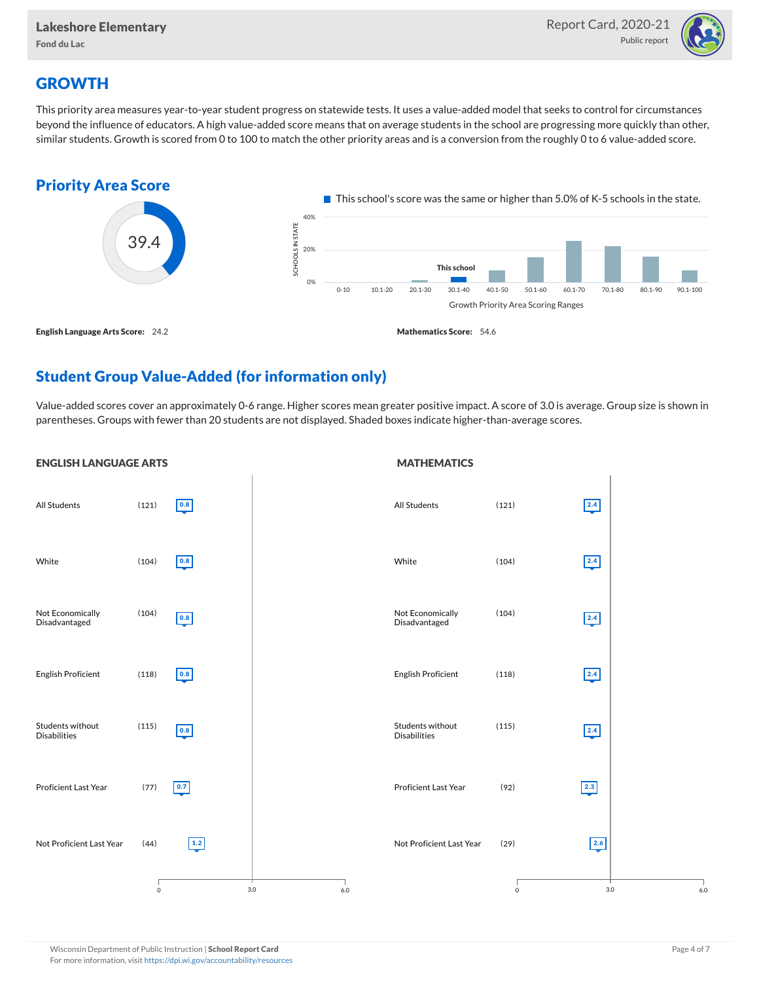

## **GROWTH**

This priority area measures year-to-year student progress on statewide tests. It uses a value-added model that seeks to control for circumstances beyond the influence of educators. A high value-added score means that on average students in the school are progressing more quickly than other, similar students. Growth is scored from 0 to 100 to match the other priority areas and is a conversion from the roughly 0 to 6 value-added score.



## Student Group Value-Added (for information only)

Value-added scores cover an approximately 0-6 range. Higher scores mean greater positive impact. A score of 3.0 is average. Group size is shown in parentheses. Groups with fewer than 20 students are not displayed. Shaded boxes indicate higher-than-average scores.

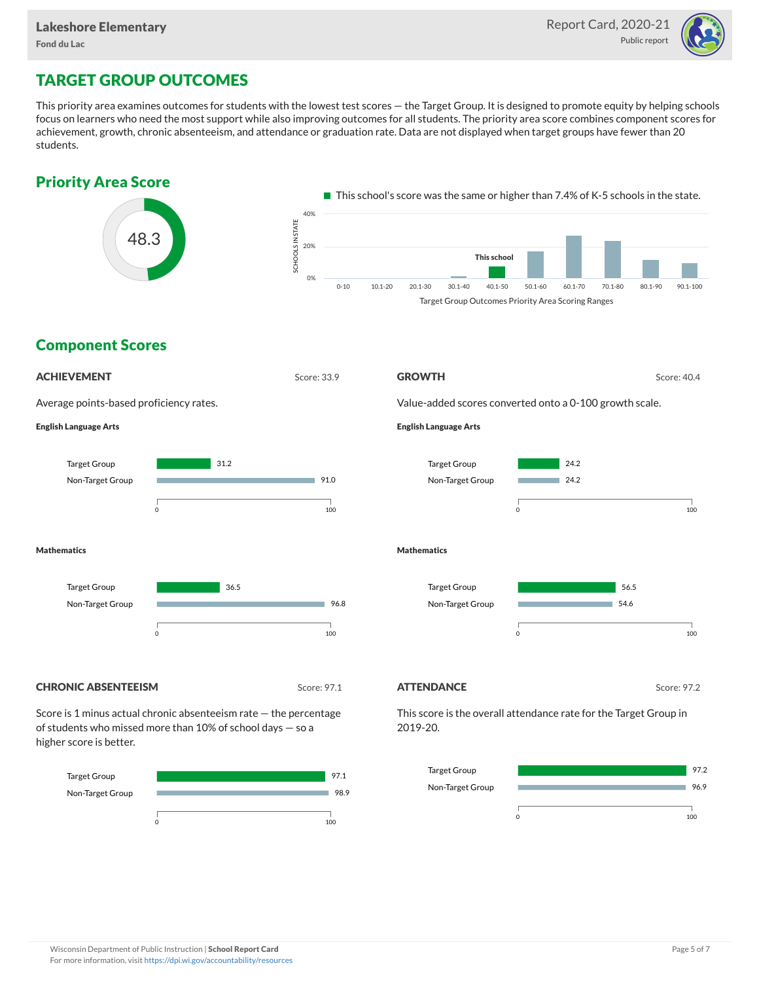

# TARGET GROUP OUTCOMES

This priority area examines outcomes for students with the lowest test scores — the Target Group. It is designed to promote equity by helping schools focus on learners who need the most support while also improving outcomes for all students. The priority area score combines component scores for achievement, growth, chronic absenteeism, and attendance or graduation rate. Data are not displayed when target groups have fewer than 20 students.



0 100

0 100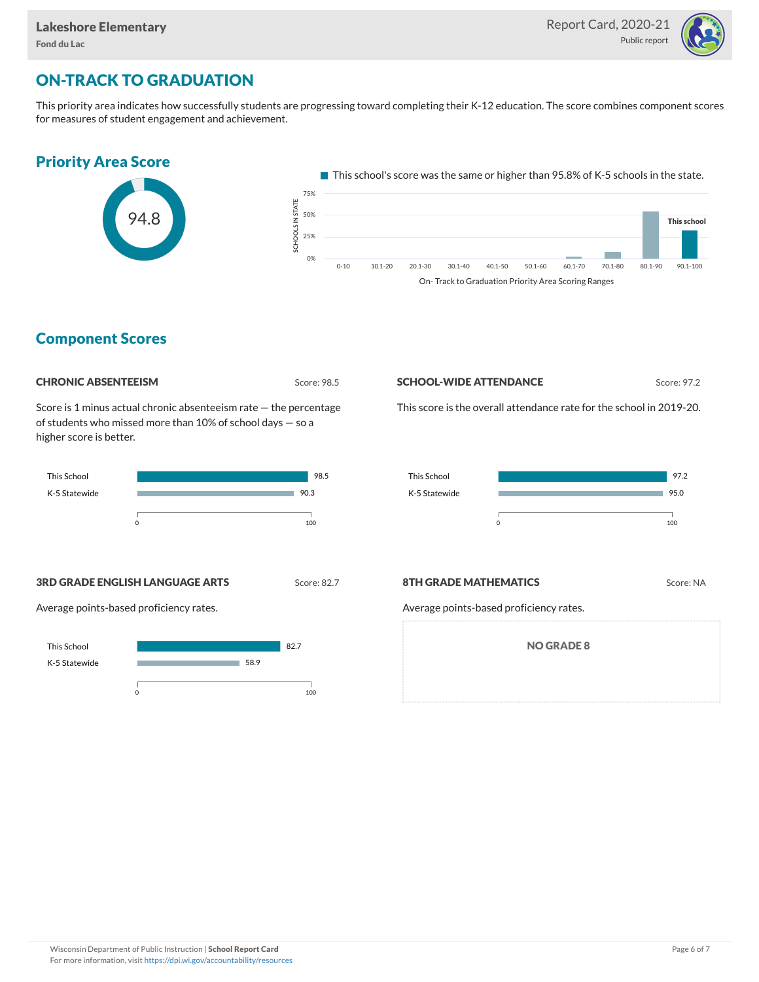

# ON-TRACK TO GRADUATION

This priority area indicates how successfully students are progressing toward completing their K-12 education. The score combines component scores for measures of student engagement and achievement.



## Component Scores



Score is 1 minus actual chronic absenteeism rate — the percentage of students who missed more than 10% of school days — so a higher score is better.



**SCHOOL-WIDE ATTENDANCE** Score: 97.2

This score is the overall attendance rate for the school in 2019-20.



**3RD GRADE ENGLISH LANGUAGE ARTS** Score: 82.7







Average points-based proficiency rates.

NO GRADE 8